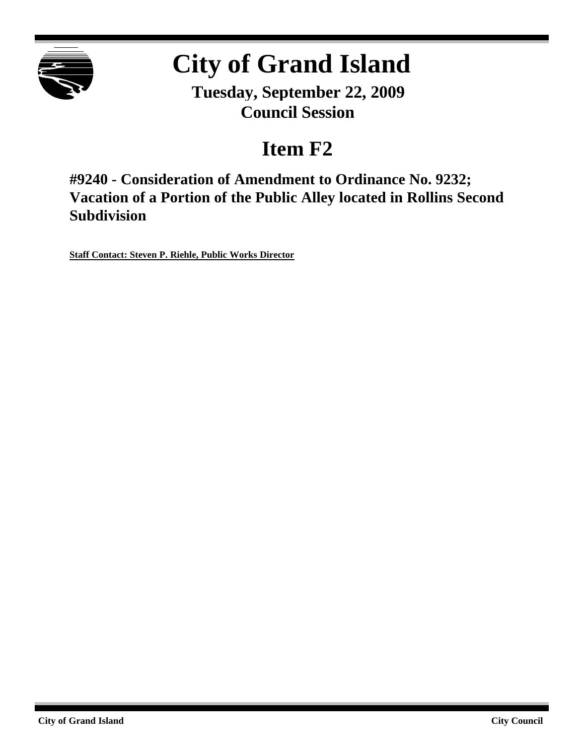

# **City of Grand Island**

**Tuesday, September 22, 2009 Council Session**

## **Item F2**

**#9240 - Consideration of Amendment to Ordinance No. 9232; Vacation of a Portion of the Public Alley located in Rollins Second Subdivision**

**Staff Contact: Steven P. Riehle, Public Works Director**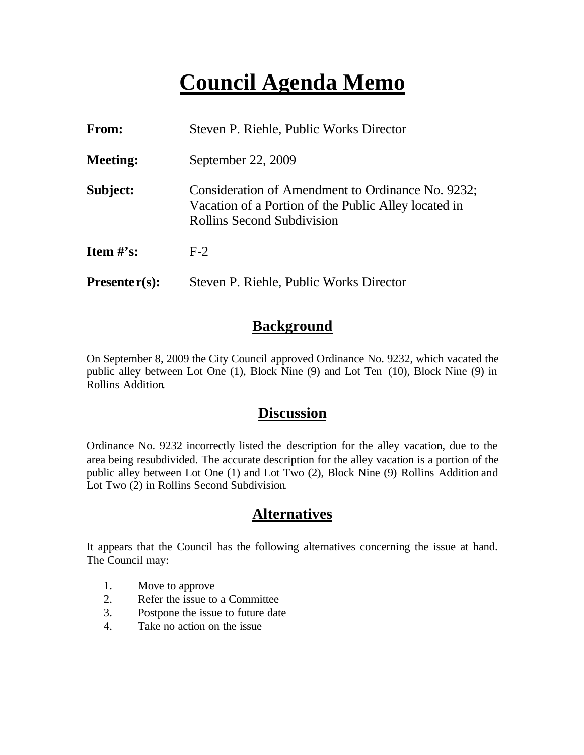# **Council Agenda Memo**

| From:           | Steven P. Riehle, Public Works Director                                                                                                        |
|-----------------|------------------------------------------------------------------------------------------------------------------------------------------------|
| <b>Meeting:</b> | September 22, 2009                                                                                                                             |
| Subject:        | Consideration of Amendment to Ordinance No. 9232;<br>Vacation of a Portion of the Public Alley located in<br><b>Rollins Second Subdivision</b> |
| Item $#$ 's:    | $F-2$                                                                                                                                          |
| $Presenter(s):$ | Steven P. Riehle, Public Works Director                                                                                                        |

#### **Background**

On September 8, 2009 the City Council approved Ordinance No. 9232, which vacated the public alley between Lot One (1), Block Nine (9) and Lot Ten (10), Block Nine (9) in Rollins Addition.

#### **Discussion**

Ordinance No. 9232 incorrectly listed the description for the alley vacation, due to the area being resubdivided. The accurate description for the alley vacation is a portion of the public alley between Lot One (1) and Lot Two (2), Block Nine (9) Rollins Addition and Lot Two (2) in Rollins Second Subdivision.

#### **Alternatives**

It appears that the Council has the following alternatives concerning the issue at hand. The Council may:

- 1. Move to approve
- 2. Refer the issue to a Committee
- 3. Postpone the issue to future date
- 4. Take no action on the issue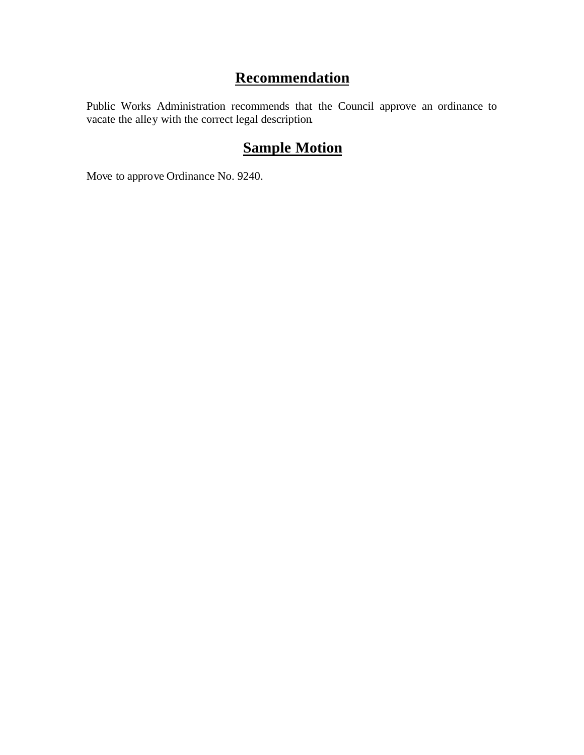### **Recommendation**

Public Works Administration recommends that the Council approve an ordinance to vacate the alley with the correct legal description.

### **Sample Motion**

Move to approve Ordinance No. 9240.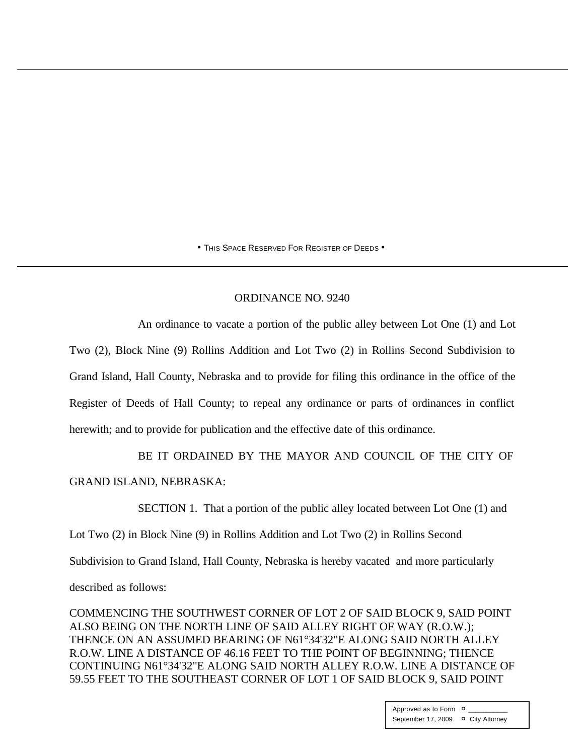• THIS SPACE RESERVED FOR REGISTER OF DEEDS •

#### ORDINANCE NO. 9240

An ordinance to vacate a portion of the public alley between Lot One (1) and Lot Two (2), Block Nine (9) Rollins Addition and Lot Two (2) in Rollins Second Subdivision to Grand Island, Hall County, Nebraska and to provide for filing this ordinance in the office of the Register of Deeds of Hall County; to repeal any ordinance or parts of ordinances in conflict herewith; and to provide for publication and the effective date of this ordinance.

BE IT ORDAINED BY THE MAYOR AND COUNCIL OF THE CITY OF GRAND ISLAND, NEBRASKA:

SECTION 1. That a portion of the public alley located between Lot One (1) and

Lot Two (2) in Block Nine (9) in Rollins Addition and Lot Two (2) in Rollins Second

Subdivision to Grand Island, Hall County, Nebraska is hereby vacated and more particularly

described as follows:

COMMENCING THE SOUTHWEST CORNER OF LOT 2 OF SAID BLOCK 9, SAID POINT ALSO BEING ON THE NORTH LINE OF SAID ALLEY RIGHT OF WAY (R.O.W.); THENCE ON AN ASSUMED BEARING OF N61°34'32"E ALONG SAID NORTH ALLEY R.O.W. LINE A DISTANCE OF 46.16 FEET TO THE POINT OF BEGINNING; THENCE CONTINUING N61°34'32"E ALONG SAID NORTH ALLEY R.O.W. LINE A DISTANCE OF 59.55 FEET TO THE SOUTHEAST CORNER OF LOT 1 OF SAID BLOCK 9, SAID POINT

> Approved as to Form  $\overline{a}$ September 17, 2009 ¤ City Attorney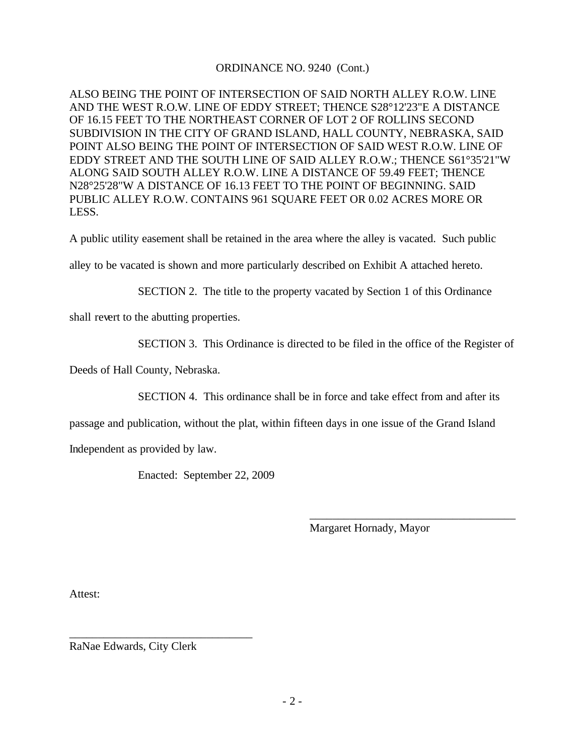#### ORDINANCE NO. 9240 (Cont.)

ALSO BEING THE POINT OF INTERSECTION OF SAID NORTH ALLEY R.O.W. LINE AND THE WEST R.O.W. LINE OF EDDY STREET; THENCE S28°12'23"E A DISTANCE OF 16.15 FEET TO THE NORTHEAST CORNER OF LOT 2 OF ROLLINS SECOND SUBDIVISION IN THE CITY OF GRAND ISLAND, HALL COUNTY, NEBRASKA, SAID POINT ALSO BEING THE POINT OF INTERSECTION OF SAID WEST R.O.W. LINE OF EDDY STREET AND THE SOUTH LINE OF SAID ALLEY R.O.W.; THENCE S61°35'21"W ALONG SAID SOUTH ALLEY R.O.W. LINE A DISTANCE OF 59.49 FEET; THENCE N28°25'28"W A DISTANCE OF 16.13 FEET TO THE POINT OF BEGINNING. SAID PUBLIC ALLEY R.O.W. CONTAINS 961 SQUARE FEET OR 0.02 ACRES MORE OR LESS.

A public utility easement shall be retained in the area where the alley is vacated. Such public

alley to be vacated is shown and more particularly described on Exhibit A attached hereto.

SECTION 2. The title to the property vacated by Section 1 of this Ordinance

shall revert to the abutting properties.

SECTION 3. This Ordinance is directed to be filed in the office of the Register of

Deeds of Hall County, Nebraska.

SECTION 4. This ordinance shall be in force and take effect from and after its

passage and publication, without the plat, within fifteen days in one issue of the Grand Island

Independent as provided by law.

Enacted: September 22, 2009

Margaret Hornady, Mayor

\_\_\_\_\_\_\_\_\_\_\_\_\_\_\_\_\_\_\_\_\_\_\_\_\_\_\_\_\_\_\_\_\_\_\_\_

Attest:

RaNae Edwards, City Clerk

\_\_\_\_\_\_\_\_\_\_\_\_\_\_\_\_\_\_\_\_\_\_\_\_\_\_\_\_\_\_\_\_